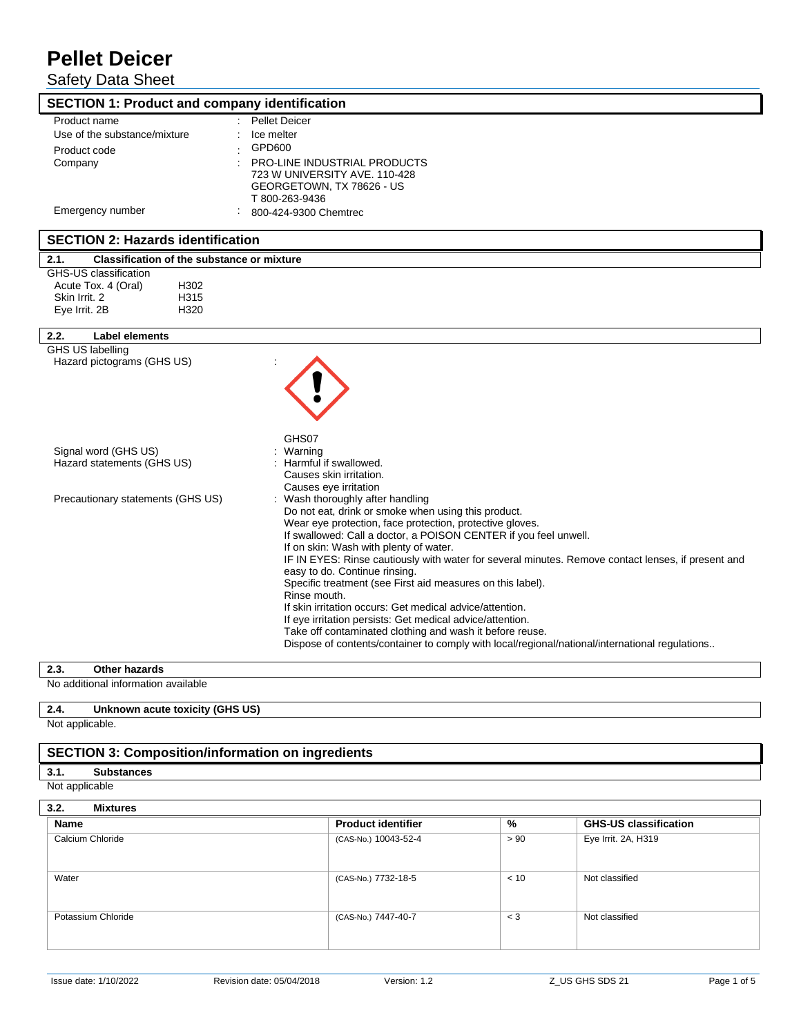Safety Data Sheet

| <b>SECTION 1: Product and company identification</b>      |                                                                                                                                                            |
|-----------------------------------------------------------|------------------------------------------------------------------------------------------------------------------------------------------------------------|
| Product name<br>Use of the substance/mixture              | <b>Pellet Deicer</b><br>Ice melter                                                                                                                         |
| Product code                                              | GPD600                                                                                                                                                     |
| Company                                                   | <b>PRO-LINE INDUSTRIAL PRODUCTS</b>                                                                                                                        |
|                                                           | 723 W UNIVERSITY AVE. 110-428<br>GEORGETOWN, TX 78626 - US                                                                                                 |
|                                                           | T 800-263-9436                                                                                                                                             |
| Emergency number                                          | 800-424-9300 Chemtrec                                                                                                                                      |
| <b>SECTION 2: Hazards identification</b>                  |                                                                                                                                                            |
| 2.1.<br><b>Classification of the substance or mixture</b> |                                                                                                                                                            |
| GHS-US classification<br>Acute Tox. 4 (Oral)<br>H302      |                                                                                                                                                            |
| Skin Irrit, 2<br>H315                                     |                                                                                                                                                            |
| H320<br>Eye Irrit. 2B                                     |                                                                                                                                                            |
| 2.2.<br>Label elements                                    |                                                                                                                                                            |
| <b>GHS US labelling</b><br>Hazard pictograms (GHS US)     |                                                                                                                                                            |
|                                                           |                                                                                                                                                            |
| Signal word (GHS US)                                      | GHS07<br>Warning                                                                                                                                           |
| Hazard statements (GHS US)                                | Harmful if swallowed.<br>Causes skin irritation.                                                                                                           |
| Precautionary statements (GHS US)                         | Causes eye irritation<br>: Wash thoroughly after handling                                                                                                  |
|                                                           | Do not eat, drink or smoke when using this product.                                                                                                        |
|                                                           | Wear eye protection, face protection, protective gloves.                                                                                                   |
|                                                           | If swallowed: Call a doctor, a POISON CENTER if you feel unwell.<br>If on skin: Wash with plenty of water.                                                 |
|                                                           | IF IN EYES: Rinse cautiously with water for several minutes. Remove contact lenses, if present and                                                         |
|                                                           | easy to do. Continue rinsing.                                                                                                                              |
|                                                           | Specific treatment (see First aid measures on this label).<br>Rinse mouth.                                                                                 |
|                                                           | If skin irritation occurs: Get medical advice/attention.                                                                                                   |
|                                                           | If eye irritation persists: Get medical advice/attention.                                                                                                  |
|                                                           | Take off contaminated clothing and wash it before reuse.<br>Dispose of contents/container to comply with local/regional/national/international regulations |
|                                                           |                                                                                                                                                            |

**2.3. Other hazards**

No additional information available

# **2.4. Unknown acute toxicity (GHS US)**

Not applicable.

 $\overline{\phantom{a}}$ 

## **SECTION 3: Composition/information on ingredients**

**3.1. Substances**

Not applicable

| 3.2.<br><b>Mixtures</b> |                           |       |                              |  |  |
|-------------------------|---------------------------|-------|------------------------------|--|--|
| Name                    | <b>Product identifier</b> | %     | <b>GHS-US classification</b> |  |  |
| Calcium Chloride        | (CAS-No.) 10043-52-4      | > 90  | Eye Irrit. 2A, H319          |  |  |
| Water                   | (CAS-No.) 7732-18-5       | < 10  | Not classified               |  |  |
| Potassium Chloride      | (CAS-No.) 7447-40-7       | $<$ 3 | Not classified               |  |  |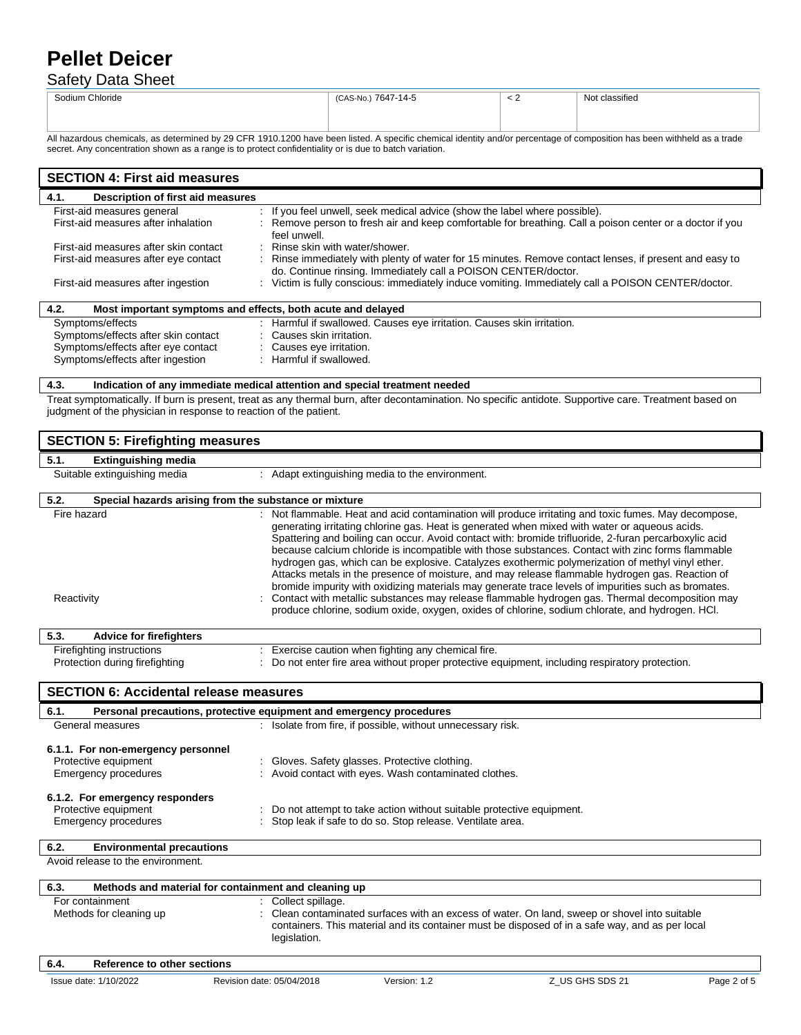## Safety Data Sheet

| Chloride<br>Sodium v<br>. | 7647-14-5<br>AS-No.<br>$\sim$ | . . | $\cdots$<br>ı.<br>classified<br>. |
|---------------------------|-------------------------------|-----|-----------------------------------|
|                           |                               |     |                                   |

All hazardous chemicals, as determined by 29 CFR 1910.1200 have been listed. A specific chemical identity and/or percentage of composition has been withheld as a trade secret. Any concentration shown as a range is to protect confidentiality or is due to batch variation.

| <b>SECTION 4: First aid measures</b>                                |                                                                                                                                                                        |  |  |  |
|---------------------------------------------------------------------|------------------------------------------------------------------------------------------------------------------------------------------------------------------------|--|--|--|
| Description of first aid measures<br>4.1.                           |                                                                                                                                                                        |  |  |  |
| First-aid measures general                                          | : If you feel unwell, seek medical advice (show the label where possible).                                                                                             |  |  |  |
| First-aid measures after inhalation                                 | : Remove person to fresh air and keep comfortable for breathing. Call a poison center or a doctor if you<br>feel unwell.                                               |  |  |  |
| First-aid measures after skin contact                               | : Rinse skin with water/shower.                                                                                                                                        |  |  |  |
| First-aid measures after eye contact                                | Rinse immediately with plenty of water for 15 minutes. Remove contact lenses, if present and easy to<br>do. Continue rinsing. Immediately call a POISON CENTER/doctor. |  |  |  |
| First-aid measures after ingestion                                  | : Victim is fully conscious: immediately induce vomiting. Immediately call a POISON CENTER/doctor.                                                                     |  |  |  |
| 4.2.<br>Most important symptoms and effects, both acute and delayed |                                                                                                                                                                        |  |  |  |
| Symptoms/effects                                                    | : Harmful if swallowed. Causes eye irritation. Causes skin irritation.                                                                                                 |  |  |  |
| Symptoms/effects after skin contact                                 | : Causes skin irritation.                                                                                                                                              |  |  |  |
| Symptoms/effects after eye contact                                  | : Causes eye irritation.                                                                                                                                               |  |  |  |
| Symptoms/effects after ingestion                                    | : Harmful if swallowed.                                                                                                                                                |  |  |  |

### **4.3. Indication of any immediate medical attention and special treatment needed**

Treat symptomatically. If burn is present, treat as any thermal burn, after decontamination. No specific antidote. Supportive care. Treatment based on judgment of the physician in response to reaction of the patient.

| <b>SECTION 5: Firefighting measures</b>                                                   |                                                                     |                                                                                                                                   |                                                                                                                                                                                                                                                                                                                                                                                                                                                                                                                                                                                                                                                                                                                                                                                                                                                                                                                                        |             |  |  |  |  |
|-------------------------------------------------------------------------------------------|---------------------------------------------------------------------|-----------------------------------------------------------------------------------------------------------------------------------|----------------------------------------------------------------------------------------------------------------------------------------------------------------------------------------------------------------------------------------------------------------------------------------------------------------------------------------------------------------------------------------------------------------------------------------------------------------------------------------------------------------------------------------------------------------------------------------------------------------------------------------------------------------------------------------------------------------------------------------------------------------------------------------------------------------------------------------------------------------------------------------------------------------------------------------|-------------|--|--|--|--|
| 5.1.<br><b>Extinguishing media</b>                                                        |                                                                     |                                                                                                                                   |                                                                                                                                                                                                                                                                                                                                                                                                                                                                                                                                                                                                                                                                                                                                                                                                                                                                                                                                        |             |  |  |  |  |
| Suitable extinguishing media                                                              |                                                                     | : Adapt extinguishing media to the environment.                                                                                   |                                                                                                                                                                                                                                                                                                                                                                                                                                                                                                                                                                                                                                                                                                                                                                                                                                                                                                                                        |             |  |  |  |  |
| 5.2.                                                                                      | Special hazards arising from the substance or mixture               |                                                                                                                                   |                                                                                                                                                                                                                                                                                                                                                                                                                                                                                                                                                                                                                                                                                                                                                                                                                                                                                                                                        |             |  |  |  |  |
| Fire hazard<br>Reactivity                                                                 |                                                                     |                                                                                                                                   | : Not flammable. Heat and acid contamination will produce irritating and toxic fumes. May decompose,<br>generating irritating chlorine gas. Heat is generated when mixed with water or aqueous acids.<br>Spattering and boiling can occur. Avoid contact with: bromide trifluoride, 2-furan percarboxylic acid<br>because calcium chloride is incompatible with those substances. Contact with zinc forms flammable<br>hydrogen gas, which can be explosive. Catalyzes exothermic polymerization of methyl vinyl ether.<br>Attacks metals in the presence of moisture, and may release flammable hydrogen gas. Reaction of<br>bromide impurity with oxidizing materials may generate trace levels of impurities such as bromates.<br>Contact with metallic substances may release flammable hydrogen gas. Thermal decomposition may<br>produce chlorine, sodium oxide, oxygen, oxides of chlorine, sodium chlorate, and hydrogen. HCl. |             |  |  |  |  |
| 5.3.<br><b>Advice for firefighters</b>                                                    |                                                                     |                                                                                                                                   |                                                                                                                                                                                                                                                                                                                                                                                                                                                                                                                                                                                                                                                                                                                                                                                                                                                                                                                                        |             |  |  |  |  |
| Firefighting instructions<br>Protection during firefighting                               |                                                                     | Exercise caution when fighting any chemical fire.                                                                                 | Do not enter fire area without proper protective equipment, including respiratory protection.                                                                                                                                                                                                                                                                                                                                                                                                                                                                                                                                                                                                                                                                                                                                                                                                                                          |             |  |  |  |  |
| <b>SECTION 6: Accidental release measures</b>                                             |                                                                     |                                                                                                                                   |                                                                                                                                                                                                                                                                                                                                                                                                                                                                                                                                                                                                                                                                                                                                                                                                                                                                                                                                        |             |  |  |  |  |
| 6.1.                                                                                      | Personal precautions, protective equipment and emergency procedures |                                                                                                                                   |                                                                                                                                                                                                                                                                                                                                                                                                                                                                                                                                                                                                                                                                                                                                                                                                                                                                                                                                        |             |  |  |  |  |
| General measures                                                                          |                                                                     | : Isolate from fire, if possible, without unnecessary risk.                                                                       |                                                                                                                                                                                                                                                                                                                                                                                                                                                                                                                                                                                                                                                                                                                                                                                                                                                                                                                                        |             |  |  |  |  |
| 6.1.1. For non-emergency personnel<br>Protective equipment<br><b>Emergency procedures</b> |                                                                     | : Gloves. Safety glasses. Protective clothing.<br>: Avoid contact with eyes. Wash contaminated clothes.                           |                                                                                                                                                                                                                                                                                                                                                                                                                                                                                                                                                                                                                                                                                                                                                                                                                                                                                                                                        |             |  |  |  |  |
| 6.1.2. For emergency responders<br>Protective equipment                                   |                                                                     |                                                                                                                                   |                                                                                                                                                                                                                                                                                                                                                                                                                                                                                                                                                                                                                                                                                                                                                                                                                                                                                                                                        |             |  |  |  |  |
| <b>Emergency procedures</b>                                                               |                                                                     | Do not attempt to take action without suitable protective equipment.<br>Stop leak if safe to do so. Stop release. Ventilate area. |                                                                                                                                                                                                                                                                                                                                                                                                                                                                                                                                                                                                                                                                                                                                                                                                                                                                                                                                        |             |  |  |  |  |
| 6.2.<br><b>Environmental precautions</b>                                                  |                                                                     |                                                                                                                                   |                                                                                                                                                                                                                                                                                                                                                                                                                                                                                                                                                                                                                                                                                                                                                                                                                                                                                                                                        |             |  |  |  |  |
| Avoid release to the environment.                                                         |                                                                     |                                                                                                                                   |                                                                                                                                                                                                                                                                                                                                                                                                                                                                                                                                                                                                                                                                                                                                                                                                                                                                                                                                        |             |  |  |  |  |
| 6.3.                                                                                      | Methods and material for containment and cleaning up                |                                                                                                                                   |                                                                                                                                                                                                                                                                                                                                                                                                                                                                                                                                                                                                                                                                                                                                                                                                                                                                                                                                        |             |  |  |  |  |
| For containment<br>Methods for cleaning up                                                | : Collect spillage.<br>legislation.                                 |                                                                                                                                   | Clean contaminated surfaces with an excess of water. On land, sweep or shovel into suitable<br>containers. This material and its container must be disposed of in a safe way, and as per local                                                                                                                                                                                                                                                                                                                                                                                                                                                                                                                                                                                                                                                                                                                                         |             |  |  |  |  |
| 6.4.<br><b>Reference to other sections</b>                                                |                                                                     |                                                                                                                                   |                                                                                                                                                                                                                                                                                                                                                                                                                                                                                                                                                                                                                                                                                                                                                                                                                                                                                                                                        |             |  |  |  |  |
| Issue date: 1/10/2022                                                                     | Revision date: 05/04/2018                                           | Version: 1.2                                                                                                                      | Z US GHS SDS 21                                                                                                                                                                                                                                                                                                                                                                                                                                                                                                                                                                                                                                                                                                                                                                                                                                                                                                                        | Page 2 of 5 |  |  |  |  |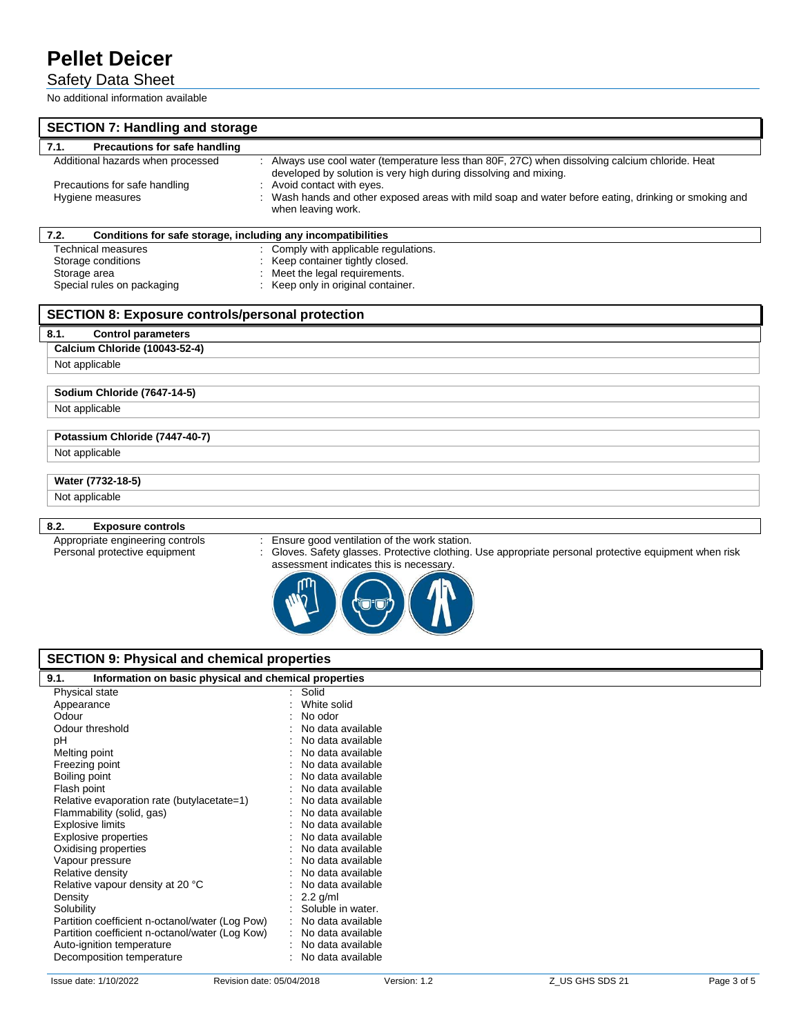## Safety Data Sheet

No additional information available

| <b>SECTION 7: Handling and storage</b>                                                                                            |                                                                                                                                                                                                                                                                                                                           |  |  |  |  |  |  |
|-----------------------------------------------------------------------------------------------------------------------------------|---------------------------------------------------------------------------------------------------------------------------------------------------------------------------------------------------------------------------------------------------------------------------------------------------------------------------|--|--|--|--|--|--|
| 7.1.<br>Precautions for safe handling                                                                                             |                                                                                                                                                                                                                                                                                                                           |  |  |  |  |  |  |
| Additional hazards when processed<br>Precautions for safe handling<br>Hygiene measures                                            | Always use cool water (temperature less than 80F, 27C) when dissolving calcium chloride. Heat<br>developed by solution is very high during dissolving and mixing.<br>Avoid contact with eyes.<br>Wash hands and other exposed areas with mild soap and water before eating, drinking or smoking and<br>when leaving work. |  |  |  |  |  |  |
| 7.2.<br>Conditions for safe storage, including any incompatibilities                                                              |                                                                                                                                                                                                                                                                                                                           |  |  |  |  |  |  |
| <b>Technical measures</b><br>Storage conditions<br>Storage area<br>Special rules on packaging                                     | : Comply with applicable regulations.<br>Keep container tightly closed.<br>Meet the legal requirements.<br>Keep only in original container.                                                                                                                                                                               |  |  |  |  |  |  |
| <b>SECTION 8: Exposure controls/personal protection</b>                                                                           |                                                                                                                                                                                                                                                                                                                           |  |  |  |  |  |  |
| 8.1.<br><b>Control parameters</b>                                                                                                 |                                                                                                                                                                                                                                                                                                                           |  |  |  |  |  |  |
| <b>Calcium Chloride (10043-52-4)</b>                                                                                              |                                                                                                                                                                                                                                                                                                                           |  |  |  |  |  |  |
| Not applicable                                                                                                                    |                                                                                                                                                                                                                                                                                                                           |  |  |  |  |  |  |
| Sodium Chloride (7647-14-5)                                                                                                       |                                                                                                                                                                                                                                                                                                                           |  |  |  |  |  |  |
| Not applicable                                                                                                                    |                                                                                                                                                                                                                                                                                                                           |  |  |  |  |  |  |
|                                                                                                                                   |                                                                                                                                                                                                                                                                                                                           |  |  |  |  |  |  |
| Potassium Chloride (7447-40-7)                                                                                                    |                                                                                                                                                                                                                                                                                                                           |  |  |  |  |  |  |
|                                                                                                                                   | Not applicable                                                                                                                                                                                                                                                                                                            |  |  |  |  |  |  |
| Water (7732-18-5)                                                                                                                 |                                                                                                                                                                                                                                                                                                                           |  |  |  |  |  |  |
| Not applicable                                                                                                                    |                                                                                                                                                                                                                                                                                                                           |  |  |  |  |  |  |
|                                                                                                                                   |                                                                                                                                                                                                                                                                                                                           |  |  |  |  |  |  |
| 8.2.<br><b>Exposure controls</b>                                                                                                  |                                                                                                                                                                                                                                                                                                                           |  |  |  |  |  |  |
| Appropriate engineering controls<br>Personal protective equipment                                                                 | Ensure good ventilation of the work station.<br>Gloves. Safety glasses. Protective clothing. Use appropriate personal protective equipment when risk<br>assessment indicates this is necessary.                                                                                                                           |  |  |  |  |  |  |
| <b>SECTION 9: Physical and chemical properties</b>                                                                                |                                                                                                                                                                                                                                                                                                                           |  |  |  |  |  |  |
| Information on basic physical and chemical properties<br>9.1.                                                                     |                                                                                                                                                                                                                                                                                                                           |  |  |  |  |  |  |
| Physical state<br>Appearance<br>Odour<br>Odour threshold<br>pH<br>Melting point<br>Freezing point<br>Boiling point<br>Flash point | : Solid<br>: White solid<br>No odor<br>No data available<br>No data available<br>No data available<br>No data available<br>No data available<br>No data available                                                                                                                                                         |  |  |  |  |  |  |
| Relative evaporation rate (butvlacetate=1)                                                                                        | No data available                                                                                                                                                                                                                                                                                                         |  |  |  |  |  |  |

Flammability (solid, gas)

Relative vapour density at 20 °C<br>Density

Relative evaporation rate (butylacetate=1) : No data available<br>Flammability (solid, gas) : No data available

Explosive limits in the set of the set of the set of the set of the set of the set of the set of the set of the set of the set of the set of the set of the set of the set of the set of the set of the set of the set of the Explosive properties : No data available<br>
Oxidising properties : No data available<br>  $\therefore$  No data available Oxidising properties **in the Community Community** Control of No data available Vapour pressure in the same state of the state of the No data available Relative density<br>
Relative vapour density at 20 °C<br>
: No data available<br>
No data available

Partition coefficient n-octanol/water (Log Pow) : No data available<br>Partition coefficient n-octanol/water (Log Kow) : No data available Partition coefficient n-octanol/water (Log Kow) : No data available<br>Auto-ignition temperature : No data available Auto-ignition temperature : No data available<br>
Decomposition temperature : No data available

Density : 2.2 g/ml<br>Solubility : 2.2 g/ml<br>Solubility : 2.0 g/ml

Decomposition temperature :  $\blacksquare$ 

Soluble in water.<br>No data available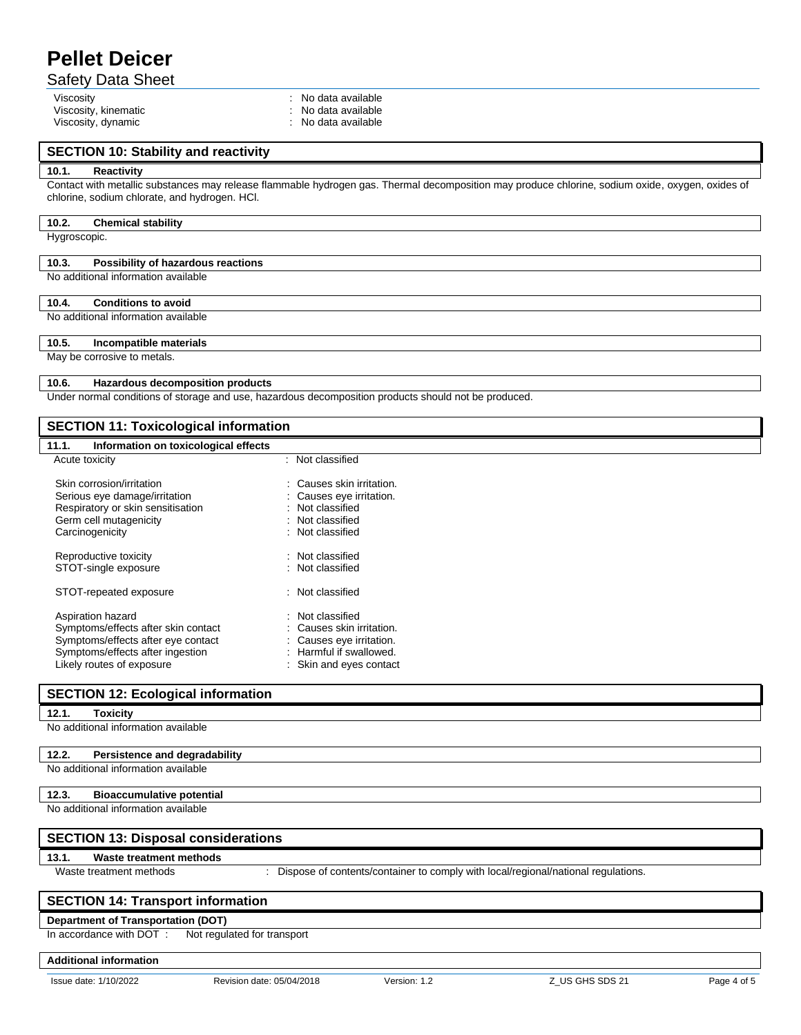## Safety Data Sheet

Viscosity, kinematic intervals of the state of the Second Viscosity, dynamic intervals of the Viscosity, dynamic intervals of the Viscosity, dynamic intervals of the Viscosity, dynamic intervals of the Viscosity, dynamic i Viscosity, dynamic intervals and the state available state and the state available state and the state available

Viscosity<br>
Viscosity, kinematic<br>
Viscosity, kinematic<br>
Viscosity, kinematic<br>
Viscosity, kinematic<br>
Viscosity, kinematic<br>
Viscosity, kinematic<br>
Viscosity, kinematic<br>
Viscosity, kinematic<br>
Viscosity, kinematic<br>
Viscosity, ki

## **SECTION 10: Stability and reactivity**

#### **10.1. Reactivity**

Contact with metallic substances may release flammable hydrogen gas. Thermal decomposition may produce chlorine, sodium oxide, oxygen, oxides of chlorine, sodium chlorate, and hydrogen. HCl.

#### **10.2. Chemical stability**

Hygroscopic.

#### **10.3. Possibility of hazardous reactions**

No additional information available

### **10.4. Conditions to avoid**

#### No additional information available

## **10.5. Incompatible materials**

#### May be corrosive to metals.

# **10.6. Hazardous decomposition products**

Under normal conditions of storage and use, hazardous decomposition products should not be produced.

## **SECTION 11: Toxicological information**

| 11.1.<br>Information on toxicological effects              |                                                       |
|------------------------------------------------------------|-------------------------------------------------------|
| Acute toxicity                                             | : Not classified                                      |
| Skin corrosion/irritation<br>Serious eye damage/irritation | : Causes skin irritation.<br>: Causes eye irritation. |
| Respiratory or skin sensitisation                          | : Not classified                                      |
| Germ cell mutagenicity                                     | : Not classified                                      |
| Carcinogenicity                                            | : Not classified                                      |
| Reproductive toxicity                                      | : Not classified                                      |
| STOT-single exposure                                       | : Not classified                                      |
| STOT-repeated exposure                                     | : Not classified                                      |
| Aspiration hazard                                          | : Not classified                                      |
| Symptoms/effects after skin contact                        | Causes skin irritation.                               |
| Symptoms/effects after eye contact                         | Causes eye irritation.                                |
| Symptoms/effects after ingestion                           | : Harmful if swallowed.                               |
| Likohr routen of ovnooure                                  | Claim and over contact                                |

| Likely routes of exposure                  | : Skin and eyes contact                                                           |  |  |
|--------------------------------------------|-----------------------------------------------------------------------------------|--|--|
|                                            | <b>SECTION 12: Ecological information</b>                                         |  |  |
| <b>Toxicity</b><br>12.1.                   |                                                                                   |  |  |
| No additional information available        |                                                                                   |  |  |
| 12.2.                                      | Persistence and degradability                                                     |  |  |
| No additional information available        |                                                                                   |  |  |
| 12.3.                                      | <b>Bioaccumulative potential</b>                                                  |  |  |
|                                            | No additional information available                                               |  |  |
| <b>SECTION 13: Disposal considerations</b> |                                                                                   |  |  |
| 13.1.                                      | Waste treatment methods                                                           |  |  |
| Waste treatment methods                    | Dispose of contents/container to comply with local/regional/national regulations. |  |  |
|                                            | <b>SECTION 14: Transport information</b>                                          |  |  |
|                                            | <b>Department of Transportation (DOT)</b>                                         |  |  |
| In accordance with DOT:                    | Not regulated for transport                                                       |  |  |

**Additional information**